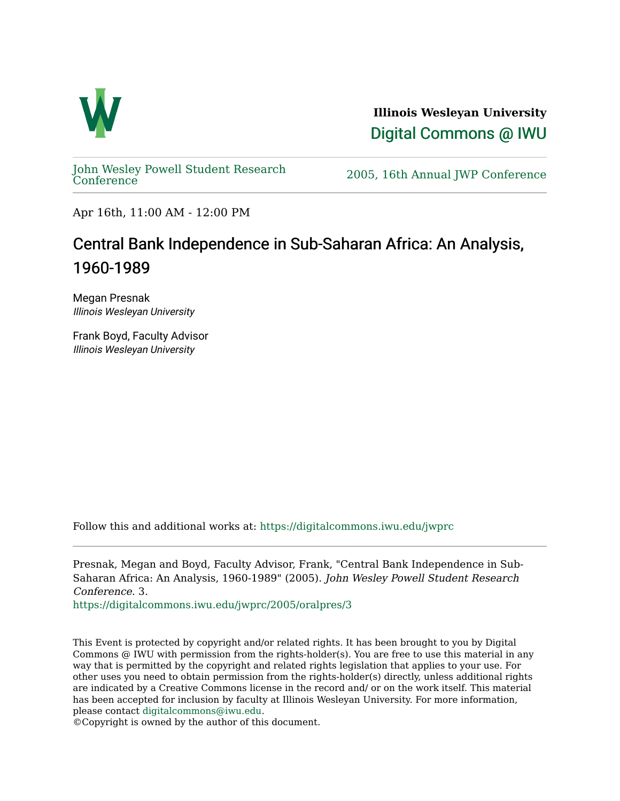

**Illinois Wesleyan University**  [Digital Commons @ IWU](https://digitalcommons.iwu.edu/) 

[John Wesley Powell Student Research](https://digitalcommons.iwu.edu/jwprc) 

2005, 16th Annual JWP [Conference](https://digitalcommons.iwu.edu/jwprc)

Apr 16th, 11:00 AM - 12:00 PM

## Central Bank Independence in Sub-Saharan Africa: An Analysis, 1960-1989

Megan Presnak Illinois Wesleyan University

Frank Boyd, Faculty Advisor Illinois Wesleyan University

Follow this and additional works at: [https://digitalcommons.iwu.edu/jwprc](https://digitalcommons.iwu.edu/jwprc?utm_source=digitalcommons.iwu.edu%2Fjwprc%2F2005%2Foralpres%2F3&utm_medium=PDF&utm_campaign=PDFCoverPages) 

Presnak, Megan and Boyd, Faculty Advisor, Frank, "Central Bank Independence in Sub-Saharan Africa: An Analysis, 1960-1989" (2005). John Wesley Powell Student Research Conference. 3.

[https://digitalcommons.iwu.edu/jwprc/2005/oralpres/3](https://digitalcommons.iwu.edu/jwprc/2005/oralpres/3?utm_source=digitalcommons.iwu.edu%2Fjwprc%2F2005%2Foralpres%2F3&utm_medium=PDF&utm_campaign=PDFCoverPages) 

This Event is protected by copyright and/or related rights. It has been brought to you by Digital Commons @ IWU with permission from the rights-holder(s). You are free to use this material in any way that is permitted by the copyright and related rights legislation that applies to your use. For other uses you need to obtain permission from the rights-holder(s) directly, unless additional rights are indicated by a Creative Commons license in the record and/ or on the work itself. This material has been accepted for inclusion by faculty at Illinois Wesleyan University. For more information, please contact [digitalcommons@iwu.edu.](mailto:digitalcommons@iwu.edu)

©Copyright is owned by the author of this document.